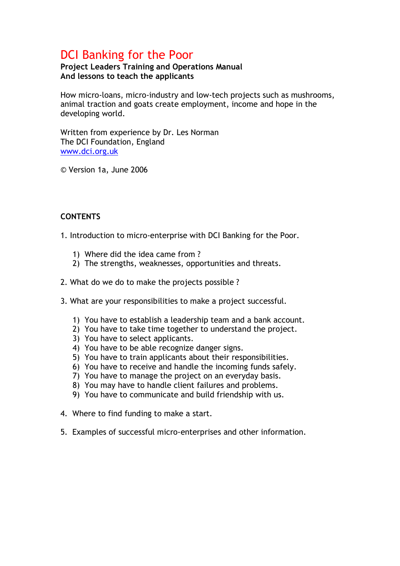# DCI Banking for the Poor

# Project Leaders Training and Operations Manual And lessons to teach the applicants

How micro-loans, micro-industry and low-tech projects such as mushrooms, animal traction and goats create employment, income and hope in the developing world.

Written from experience by Dr. Les Norman The DCI Foundation, England www.dci.org.uk

© Version 1a, June 2006

# **CONTENTS**

- 1. Introduction to micro-enterprise with DCI Banking for the Poor.
	- 1) Where did the idea came from ?
	- 2) The strengths, weaknesses, opportunities and threats.
- 2. What do we do to make the projects possible ?
- 3. What are your responsibilities to make a project successful.
	- 1) You have to establish a leadership team and a bank account.
	- 2) You have to take time together to understand the project.
	- 3) You have to select applicants.
	- 4) You have to be able recognize danger signs.
	- 5) You have to train applicants about their responsibilities.
	- 6) You have to receive and handle the incoming funds safely.
	- 7) You have to manage the project on an everyday basis.
	- 8) You may have to handle client failures and problems.
	- 9) You have to communicate and build friendship with us.
- 4. Where to find funding to make a start.
- 5. Examples of successful micro-enterprises and other information.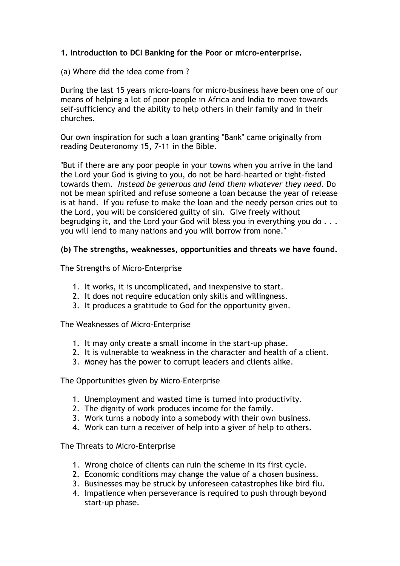# 1. Introduction to DCI Banking for the Poor or micro-enterprise.

(a) Where did the idea come from ?

During the last 15 years micro-loans for micro-business have been one of our means of helping a lot of poor people in Africa and India to move towards self-sufficiency and the ability to help others in their family and in their churches.

Our own inspiration for such a loan granting "Bank" came originally from reading Deuteronomy 15, 7-11 in the Bible.

"But if there are any poor people in your towns when you arrive in the land the Lord your God is giving to you, do not be hard-hearted or tight-fisted towards them. Instead be generous and lend them whatever they need. Do not be mean spirited and refuse someone a loan because the year of release is at hand. If you refuse to make the loan and the needy person cries out to the Lord, you will be considered guilty of sin. Give freely without begrudging it, and the Lord your God will bless you in everything you do . . . you will lend to many nations and you will borrow from none."

# (b) The strengths, weaknesses, opportunities and threats we have found.

The Strengths of Micro-Enterprise

- 1. It works, it is uncomplicated, and inexpensive to start.
- 2. It does not require education only skills and willingness.
- 3. It produces a gratitude to God for the opportunity given.

The Weaknesses of Micro-Enterprise

- 1. It may only create a small income in the start-up phase.
- 2. It is vulnerable to weakness in the character and health of a client.
- 3. Money has the power to corrupt leaders and clients alike.

#### The Opportunities given by Micro-Enterprise

- 1. Unemployment and wasted time is turned into productivity.
- 2. The dignity of work produces income for the family.
- 3. Work turns a nobody into a somebody with their own business.
- 4. Work can turn a receiver of help into a giver of help to others.

The Threats to Micro-Enterprise

- 1. Wrong choice of clients can ruin the scheme in its first cycle.
- 2. Economic conditions may change the value of a chosen business.
- 3. Businesses may be struck by unforeseen catastrophes like bird flu.
- 4. Impatience when perseverance is required to push through beyond start-up phase.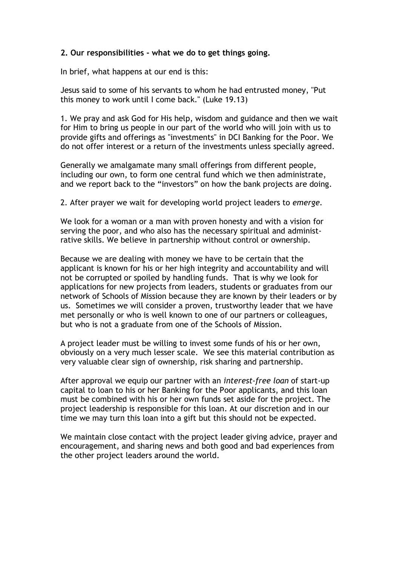# 2. Our responsibilities - what we do to get things going.

In brief, what happens at our end is this:

Jesus said to some of his servants to whom he had entrusted money, "Put this money to work until I come back." (Luke 19.13)

1. We pray and ask God for His help, wisdom and guidance and then we wait for Him to bring us people in our part of the world who will join with us to provide gifts and offerings as "investments" in DCI Banking for the Poor. We do not offer interest or a return of the investments unless specially agreed.

Generally we amalgamate many small offerings from different people, including our own, to form one central fund which we then administrate, and we report back to the "investors" on how the bank projects are doing.

2. After prayer we wait for developing world project leaders to emerge.

We look for a woman or a man with proven honesty and with a vision for serving the poor, and who also has the necessary spiritual and administrative skills. We believe in partnership without control or ownership.

Because we are dealing with money we have to be certain that the applicant is known for his or her high integrity and accountability and will not be corrupted or spoiled by handling funds. That is why we look for applications for new projects from leaders, students or graduates from our network of Schools of Mission because they are known by their leaders or by us. Sometimes we will consider a proven, trustworthy leader that we have met personally or who is well known to one of our partners or colleagues, but who is not a graduate from one of the Schools of Mission.

A project leader must be willing to invest some funds of his or her own, obviously on a very much lesser scale. We see this material contribution as very valuable clear sign of ownership, risk sharing and partnership.

After approval we equip our partner with an interest-free loan of start-up capital to loan to his or her Banking for the Poor applicants, and this loan must be combined with his or her own funds set aside for the project. The project leadership is responsible for this loan. At our discretion and in our time we may turn this loan into a gift but this should not be expected.

We maintain close contact with the project leader giving advice, prayer and encouragement, and sharing news and both good and bad experiences from the other project leaders around the world.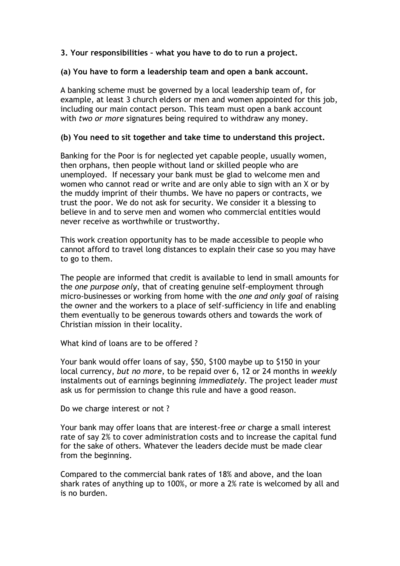# 3. Your responsibilities – what you have to do to run a project.

#### (a) You have to form a leadership team and open a bank account.

A banking scheme must be governed by a local leadership team of, for example, at least 3 church elders or men and women appointed for this job, including our main contact person. This team must open a bank account with two or more signatures being required to withdraw any money.

#### (b) You need to sit together and take time to understand this project.

Banking for the Poor is for neglected yet capable people, usually women, then orphans, then people without land or skilled people who are unemployed. If necessary your bank must be glad to welcome men and women who cannot read or write and are only able to sign with an X or by the muddy imprint of their thumbs. We have no papers or contracts, we trust the poor. We do not ask for security. We consider it a blessing to believe in and to serve men and women who commercial entities would never receive as worthwhile or trustworthy.

This work creation opportunity has to be made accessible to people who cannot afford to travel long distances to explain their case so you may have to go to them.

The people are informed that credit is available to lend in small amounts for the one purpose only, that of creating genuine self-employment through micro-businesses or working from home with the one and only goal of raising the owner and the workers to a place of self-sufficiency in life and enabling them eventually to be generous towards others and towards the work of Christian mission in their locality.

What kind of loans are to be offered ?

Your bank would offer loans of say, \$50, \$100 maybe up to \$150 in your local currency, but no more, to be repaid over 6, 12 or 24 months in weekly instalments out of earnings beginning immediately. The project leader must ask us for permission to change this rule and have a good reason.

Do we charge interest or not ?

Your bank may offer loans that are interest-free or charge a small interest rate of say 2% to cover administration costs and to increase the capital fund for the sake of others. Whatever the leaders decide must be made clear from the beginning.

Compared to the commercial bank rates of 18% and above, and the loan shark rates of anything up to 100%, or more a 2% rate is welcomed by all and is no burden.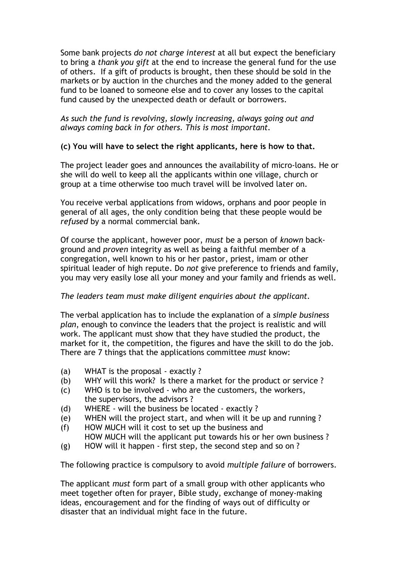Some bank projects do not charge interest at all but expect the beneficiary to bring a thank you gift at the end to increase the general fund for the use of others. If a gift of products is brought, then these should be sold in the markets or by auction in the churches and the money added to the general fund to be loaned to someone else and to cover any losses to the capital fund caused by the unexpected death or default or borrowers.

# As such the fund is revolving, slowly increasing, always going out and always coming back in for others. This is most important.

# (c) You will have to select the right applicants, here is how to that.

The project leader goes and announces the availability of micro-loans. He or she will do well to keep all the applicants within one village, church or group at a time otherwise too much travel will be involved later on.

You receive verbal applications from widows, orphans and poor people in general of all ages, the only condition being that these people would be refused by a normal commercial bank.

Of course the applicant, however poor, must be a person of known background and proven integrity as well as being a faithful member of a congregation, well known to his or her pastor, priest, imam or other spiritual leader of high repute. Do not give preference to friends and family, you may very easily lose all your money and your family and friends as well.

# The leaders team must make diligent enquiries about the applicant.

The verbal application has to include the explanation of a *simple business* plan, enough to convince the leaders that the project is realistic and will work. The applicant must show that they have studied the product, the market for it, the competition, the figures and have the skill to do the job. There are 7 things that the applications committee must know:

- (a) WHAT is the proposal exactly ?
- (b) WHY will this work? Is there a market for the product or service ?
- (c) WHO is to be involved who are the customers, the workers, the supervisors, the advisors ?
- (d) WHERE will the business be located exactly ?
- (e) WHEN will the project start, and when will it be up and running ?
- (f) HOW MUCH will it cost to set up the business and HOW MUCH will the applicant put towards his or her own business ?
- (g) HOW will it happen first step, the second step and so on ?

The following practice is compulsory to avoid multiple failure of borrowers.

The applicant must form part of a small group with other applicants who meet together often for prayer, Bible study, exchange of money-making ideas, encouragement and for the finding of ways out of difficulty or disaster that an individual might face in the future.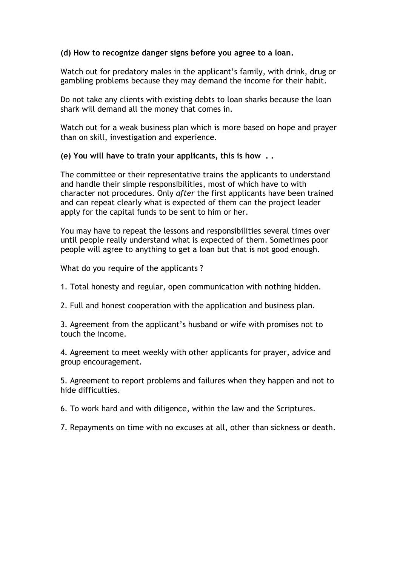# (d) How to recognize danger signs before you agree to a loan.

Watch out for predatory males in the applicant's family, with drink, drug or gambling problems because they may demand the income for their habit.

Do not take any clients with existing debts to loan sharks because the loan shark will demand all the money that comes in.

Watch out for a weak business plan which is more based on hope and prayer than on skill, investigation and experience.

(e) You will have to train your applicants, this is how . .

The committee or their representative trains the applicants to understand and handle their simple responsibilities, most of which have to with character not procedures. Only after the first applicants have been trained and can repeat clearly what is expected of them can the project leader apply for the capital funds to be sent to him or her.

You may have to repeat the lessons and responsibilities several times over until people really understand what is expected of them. Sometimes poor people will agree to anything to get a loan but that is not good enough.

What do you require of the applicants ?

1. Total honesty and regular, open communication with nothing hidden.

2. Full and honest cooperation with the application and business plan.

3. Agreement from the applicant's husband or wife with promises not to touch the income.

4. Agreement to meet weekly with other applicants for prayer, advice and group encouragement.

5. Agreement to report problems and failures when they happen and not to hide difficulties.

6. To work hard and with diligence, within the law and the Scriptures.

7. Repayments on time with no excuses at all, other than sickness or death.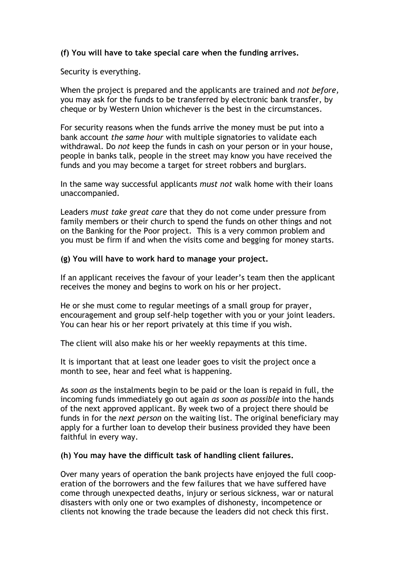# (f) You will have to take special care when the funding arrives.

Security is everything.

When the project is prepared and the applicants are trained and not before, you may ask for the funds to be transferred by electronic bank transfer, by cheque or by Western Union whichever is the best in the circumstances.

For security reasons when the funds arrive the money must be put into a bank account the same hour with multiple signatories to validate each withdrawal. Do not keep the funds in cash on your person or in your house, people in banks talk, people in the street may know you have received the funds and you may become a target for street robbers and burglars.

In the same way successful applicants must not walk home with their loans unaccompanied.

Leaders must take great care that they do not come under pressure from family members or their church to spend the funds on other things and not on the Banking for the Poor project. This is a very common problem and you must be firm if and when the visits come and begging for money starts.

#### (g) You will have to work hard to manage your project.

If an applicant receives the favour of your leader's team then the applicant receives the money and begins to work on his or her project.

He or she must come to regular meetings of a small group for prayer, encouragement and group self-help together with you or your joint leaders. You can hear his or her report privately at this time if you wish.

The client will also make his or her weekly repayments at this time.

It is important that at least one leader goes to visit the project once a month to see, hear and feel what is happening.

As soon as the instalments begin to be paid or the loan is repaid in full, the incoming funds immediately go out again as soon as possible into the hands of the next approved applicant. By week two of a project there should be funds in for the next person on the waiting list. The original beneficiary may apply for a further loan to develop their business provided they have been faithful in every way.

#### (h) You may have the difficult task of handling client failures.

Over many years of operation the bank projects have enjoyed the full cooperation of the borrowers and the few failures that we have suffered have come through unexpected deaths, injury or serious sickness, war or natural disasters with only one or two examples of dishonesty, incompetence or clients not knowing the trade because the leaders did not check this first.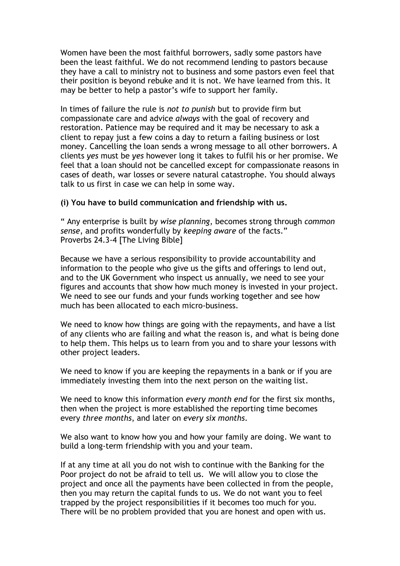Women have been the most faithful borrowers, sadly some pastors have been the least faithful. We do not recommend lending to pastors because they have a call to ministry not to business and some pastors even feel that their position is beyond rebuke and it is not. We have learned from this. It may be better to help a pastor's wife to support her family.

In times of failure the rule is not to punish but to provide firm but compassionate care and advice always with the goal of recovery and restoration. Patience may be required and it may be necessary to ask a client to repay just a few coins a day to return a failing business or lost money. Cancelling the loan sends a wrong message to all other borrowers. A clients yes must be yes however long it takes to fulfil his or her promise. We feel that a loan should not be cancelled except for compassionate reasons in cases of death, war losses or severe natural catastrophe. You should always talk to us first in case we can help in some way.

#### (i) You have to build communication and friendship with us.

" Any enterprise is built by wise planning, becomes strong through common sense, and profits wonderfully by keeping aware of the facts." Proverbs 24.3-4 [The Living Bible]

Because we have a serious responsibility to provide accountability and information to the people who give us the gifts and offerings to lend out, and to the UK Government who inspect us annually, we need to see your figures and accounts that show how much money is invested in your project. We need to see our funds and your funds working together and see how much has been allocated to each micro-business.

We need to know how things are going with the repayments, and have a list of any clients who are failing and what the reason is, and what is being done to help them. This helps us to learn from you and to share your lessons with other project leaders.

We need to know if you are keeping the repayments in a bank or if you are immediately investing them into the next person on the waiting list.

We need to know this information every month end for the first six months, then when the project is more established the reporting time becomes every three months, and later on every six months.

We also want to know how you and how your family are doing. We want to build a long-term friendship with you and your team.

If at any time at all you do not wish to continue with the Banking for the Poor project do not be afraid to tell us. We will allow you to close the project and once all the payments have been collected in from the people, then you may return the capital funds to us. We do not want you to feel trapped by the project responsibilities if it becomes too much for you. There will be no problem provided that you are honest and open with us.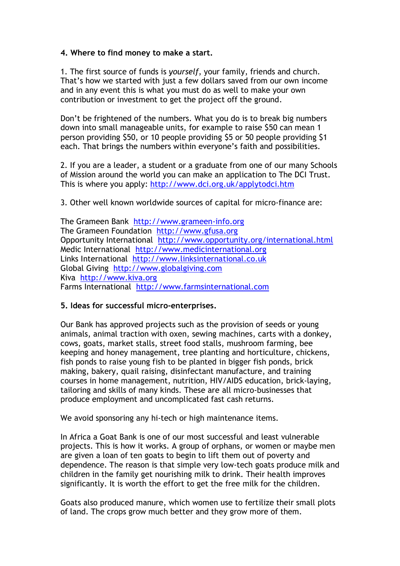# 4. Where to find money to make a start.

1. The first source of funds is yourself, your family, friends and church. That's how we started with just a few dollars saved from our own income and in any event this is what you must do as well to make your own contribution or investment to get the project off the ground.

Don't be frightened of the numbers. What you do is to break big numbers down into small manageable units, for example to raise \$50 can mean 1 person providing \$50, or 10 people providing \$5 or 50 people providing \$1 each. That brings the numbers within everyone's faith and possibilities.

2. If you are a leader, a student or a graduate from one of our many Schools of Mission around the world you can make an application to The DCI Trust. This is where you apply: http://www.dci.org.uk/applytodci.htm

3. Other well known worldwide sources of capital for micro-finance are:

The Grameen Bank http://www.grameen-info.org The Grameen Foundation http://www.gfusa.org Opportunity International http://www.opportunity.org/international.html Medic International http://www.medicinternational.org Links International http://www.linksinternational.co.uk Global Giving http://www.globalgiving.com Kiva http://www.kiva.org Farms International http://www.farmsinternational.com

# 5. Ideas for successful micro-enterprises.

Our Bank has approved projects such as the provision of seeds or young animals, animal traction with oxen, sewing machines, carts with a donkey, cows, goats, market stalls, street food stalls, mushroom farming, bee keeping and honey management, tree planting and horticulture, chickens, fish ponds to raise young fish to be planted in bigger fish ponds, brick making, bakery, quail raising, disinfectant manufacture, and training courses in home management, nutrition, HIV/AIDS education, brick-laying, tailoring and skills of many kinds. These are all micro-businesses that produce employment and uncomplicated fast cash returns.

We avoid sponsoring any hi-tech or high maintenance items.

In Africa a Goat Bank is one of our most successful and least vulnerable projects. This is how it works. A group of orphans, or women or maybe men are given a loan of ten goats to begin to lift them out of poverty and dependence. The reason is that simple very low-tech goats produce milk and children in the family get nourishing milk to drink. Their health improves significantly. It is worth the effort to get the free milk for the children.

Goats also produced manure, which women use to fertilize their small plots of land. The crops grow much better and they grow more of them.